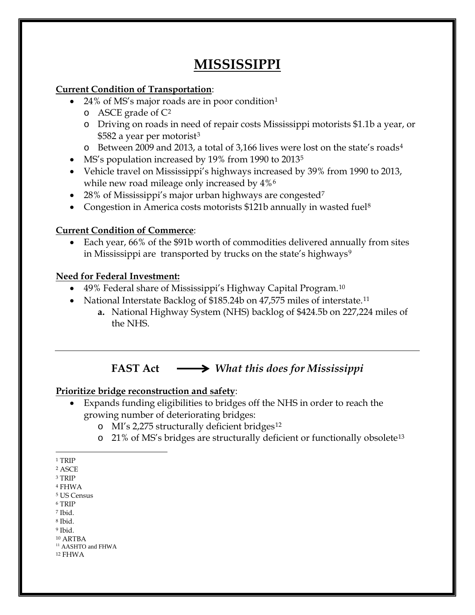# **MISSISSIPPI**

### **Current Condition of Transportation**:

- 24% of MS's major roads are in poor condition<sup>[1](#page-0-0)</sup>
	- o ASCE grade of [C2](#page-0-1)
	- o Driving on roads in need of repair costs Mississippi motorists \$1.1b a year, or \$582 a year per motorist<sup>[3](#page-0-2)</sup>
	- o Between 2009 and 2013, a total of 3,166 lives were lost on the state's roads[4](#page-0-3)
- MS's population increased by 19% from 1990 to 2013<sup>5</sup>
- Vehicle travel on Mississippi's highways increased by 39% from 1990 to 2013, while new road mileage only increased by  $4\%$ <sup>[6](#page-0-5)</sup>
- 28% of Mississippi's major urban highways are congested<sup>[7](#page-0-6)</sup>
- Congestion in America costs motorists \$121b annually in wasted fuel<sup>[8](#page-0-7)</sup>

### **Current Condition of Commerce**:

• Each year, 66% of the \$91b worth of commodities delivered annually from sites in Mississippi are transported by trucks on the state's highways<sup>[9](#page-0-8)</sup>

### **Need for Federal Investment:**

- 49% Federal share of Mississippi's Highway Capital Program.<sup>[10](#page-0-9)</sup>
- National Interstate Backlog of \$185.24b on 47,575 miles of interstate.<sup>[11](#page-0-10)</sup>
	- **a.** National Highway System (NHS) backlog of \$424.5b on 227,224 miles of the NHS.

## **FAST Act** *What this does for Mississippi*

### **Prioritize bridge reconstruction and safety**:

- Expands funding eligibilities to bridges off the NHS in order to reach the growing number of deteriorating bridges:
	- o MI's 2,275 structurally deficient bridges[12](#page-0-11)
	- o 21% of MS's bridges are structurally deficient or functionally obsolete[13](#page-0-12)

<span id="page-0-12"></span><span id="page-0-9"></span><sup>10</sup> ARTBA

 $\overline{a}$  $^{\rm 1}$  TRIP

<span id="page-0-1"></span><span id="page-0-0"></span><sup>2</sup> ASCE

<span id="page-0-2"></span><sup>3</sup> TRIP

<span id="page-0-3"></span><sup>4</sup> FHWA

<span id="page-0-4"></span><sup>5</sup> US Census

<span id="page-0-5"></span><sup>6</sup> TRIP <sup>7</sup> Ibid.

<span id="page-0-6"></span><sup>8</sup> Ibid.

<span id="page-0-8"></span><span id="page-0-7"></span><sup>9</sup> Ibid.

<span id="page-0-10"></span><sup>&</sup>lt;sup>11</sup> AASHTO and FHWA

<span id="page-0-11"></span><sup>12</sup> FHWA